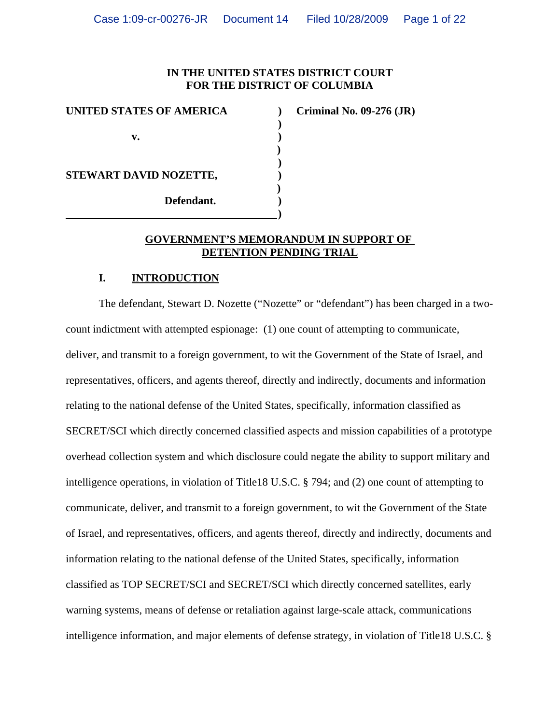## **IN THE UNITED STATES DISTRICT COURT FOR THE DISTRICT OF COLUMBIA**

**)**

| UNITED STATES OF AMERICA |  |
|--------------------------|--|
|                          |  |
| v.                       |  |
|                          |  |
|                          |  |
| STEWART DAVID NOZETTE,   |  |
|                          |  |
| Defendant.               |  |
|                          |  |

**UNITED STATES OF AMERICA ) Criminal No. 09-276 (JR)**

#### **GOVERNMENT'S MEMORANDUM IN SUPPORT OF DETENTION PENDING TRIAL**

## **I. INTRODUCTION**

The defendant, Stewart D. Nozette ("Nozette" or "defendant") has been charged in a twocount indictment with attempted espionage: (1) one count of attempting to communicate, deliver, and transmit to a foreign government, to wit the Government of the State of Israel, and representatives, officers, and agents thereof, directly and indirectly, documents and information relating to the national defense of the United States, specifically, information classified as SECRET/SCI which directly concerned classified aspects and mission capabilities of a prototype overhead collection system and which disclosure could negate the ability to support military and intelligence operations, in violation of Title18 U.S.C. § 794; and (2) one count of attempting to communicate, deliver, and transmit to a foreign government, to wit the Government of the State of Israel, and representatives, officers, and agents thereof, directly and indirectly, documents and information relating to the national defense of the United States, specifically, information classified as TOP SECRET/SCI and SECRET/SCI which directly concerned satellites, early warning systems, means of defense or retaliation against large-scale attack, communications intelligence information, and major elements of defense strategy, in violation of Title18 U.S.C. §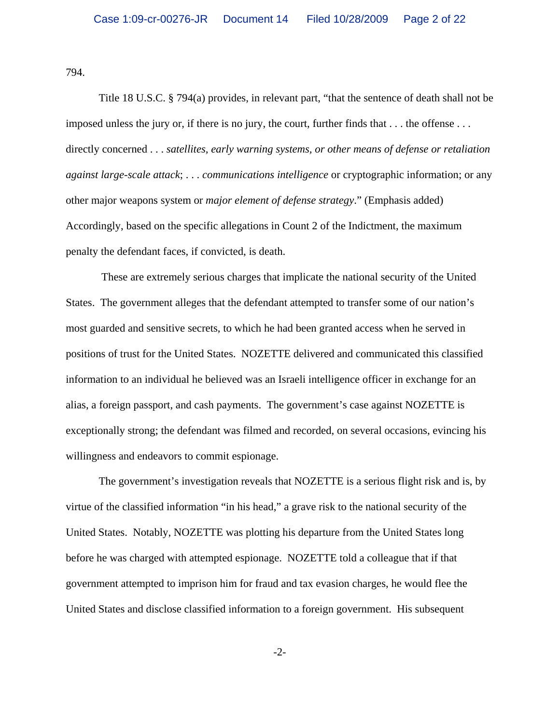794.

Title 18 U.S.C. § 794(a) provides, in relevant part, "that the sentence of death shall not be imposed unless the jury or, if there is no jury, the court, further finds that . . . the offense . . . directly concerned . . . *satellites, early warning systems, or other means of defense or retaliation against large-scale attack*; . . . *communications intelligence* or cryptographic information; or any other major weapons system or *major element of defense strategy*." (Emphasis added) Accordingly, based on the specific allegations in Count 2 of the Indictment, the maximum penalty the defendant faces, if convicted, is death.

 These are extremely serious charges that implicate the national security of the United States. The government alleges that the defendant attempted to transfer some of our nation's most guarded and sensitive secrets, to which he had been granted access when he served in positions of trust for the United States. NOZETTE delivered and communicated this classified information to an individual he believed was an Israeli intelligence officer in exchange for an alias, a foreign passport, and cash payments. The government's case against NOZETTE is exceptionally strong; the defendant was filmed and recorded, on several occasions, evincing his willingness and endeavors to commit espionage.

The government's investigation reveals that NOZETTE is a serious flight risk and is, by virtue of the classified information "in his head," a grave risk to the national security of the United States. Notably, NOZETTE was plotting his departure from the United States long before he was charged with attempted espionage. NOZETTE told a colleague that if that government attempted to imprison him for fraud and tax evasion charges, he would flee the United States and disclose classified information to a foreign government. His subsequent

-2-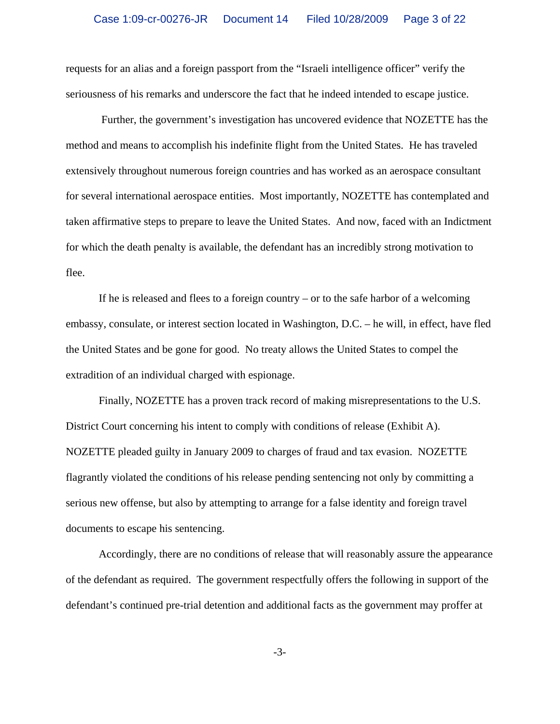requests for an alias and a foreign passport from the "Israeli intelligence officer" verify the seriousness of his remarks and underscore the fact that he indeed intended to escape justice.

 Further, the government's investigation has uncovered evidence that NOZETTE has the method and means to accomplish his indefinite flight from the United States. He has traveled extensively throughout numerous foreign countries and has worked as an aerospace consultant for several international aerospace entities. Most importantly, NOZETTE has contemplated and taken affirmative steps to prepare to leave the United States. And now, faced with an Indictment for which the death penalty is available, the defendant has an incredibly strong motivation to flee.

If he is released and flees to a foreign country – or to the safe harbor of a welcoming embassy, consulate, or interest section located in Washington, D.C. – he will, in effect, have fled the United States and be gone for good. No treaty allows the United States to compel the extradition of an individual charged with espionage.

Finally, NOZETTE has a proven track record of making misrepresentations to the U.S. District Court concerning his intent to comply with conditions of release (Exhibit A). NOZETTE pleaded guilty in January 2009 to charges of fraud and tax evasion. NOZETTE flagrantly violated the conditions of his release pending sentencing not only by committing a serious new offense, but also by attempting to arrange for a false identity and foreign travel documents to escape his sentencing.

Accordingly, there are no conditions of release that will reasonably assure the appearance of the defendant as required. The government respectfully offers the following in support of the defendant's continued pre-trial detention and additional facts as the government may proffer at

-3-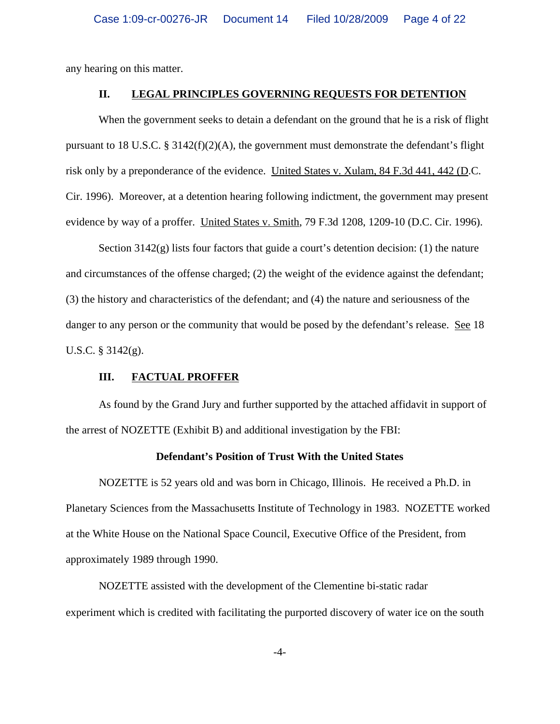any hearing on this matter.

#### **II. LEGAL PRINCIPLES GOVERNING REQUESTS FOR DETENTION**

When the government seeks to detain a defendant on the ground that he is a risk of flight pursuant to 18 U.S.C. § 3142(f)(2)(A), the government must demonstrate the defendant's flight risk only by a preponderance of the evidence. United States v. Xulam, 84 F.3d 441, 442 (D.C. Cir. 1996). Moreover, at a detention hearing following indictment, the government may present evidence by way of a proffer. United States v. Smith, 79 F.3d 1208, 1209-10 (D.C. Cir. 1996).

Section  $3142(g)$  lists four factors that guide a court's detention decision: (1) the nature and circumstances of the offense charged; (2) the weight of the evidence against the defendant; (3) the history and characteristics of the defendant; and (4) the nature and seriousness of the danger to any person or the community that would be posed by the defendant's release. See 18 U.S.C. § 3142(g).

### **III. FACTUAL PROFFER**

As found by the Grand Jury and further supported by the attached affidavit in support of the arrest of NOZETTE (Exhibit B) and additional investigation by the FBI:

#### **Defendant's Position of Trust With the United States**

NOZETTE is 52 years old and was born in Chicago, Illinois. He received a Ph.D. in Planetary Sciences from the Massachusetts Institute of Technology in 1983. NOZETTE worked at the White House on the National Space Council, Executive Office of the President, from approximately 1989 through 1990.

NOZETTE assisted with the development of the Clementine bi-static radar experiment which is credited with facilitating the purported discovery of water ice on the south

-4-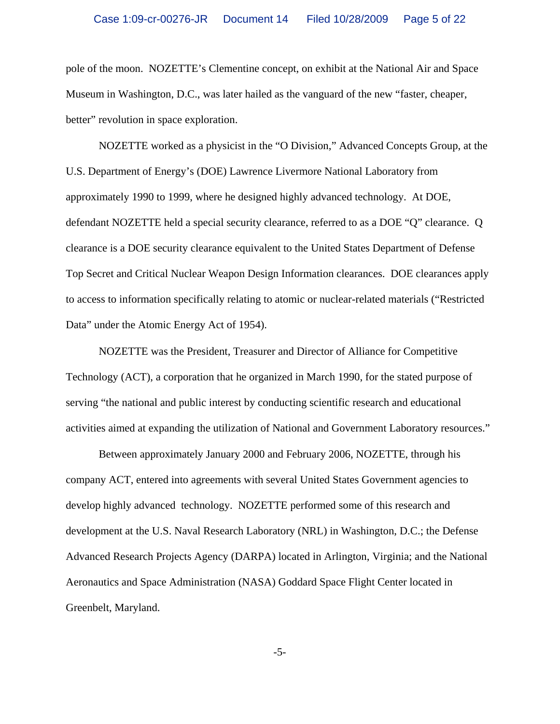pole of the moon. NOZETTE's Clementine concept, on exhibit at the National Air and Space Museum in Washington, D.C., was later hailed as the vanguard of the new "faster, cheaper, better" revolution in space exploration.

NOZETTE worked as a physicist in the "O Division," Advanced Concepts Group, at the U.S. Department of Energy's (DOE) Lawrence Livermore National Laboratory from approximately 1990 to 1999, where he designed highly advanced technology. At DOE, defendant NOZETTE held a special security clearance, referred to as a DOE "Q" clearance. Q clearance is a DOE security clearance equivalent to the United States Department of Defense Top Secret and Critical Nuclear Weapon Design Information clearances. DOE clearances apply to access to information specifically relating to atomic or nuclear-related materials ("Restricted Data" under the Atomic Energy Act of 1954).

NOZETTE was the President, Treasurer and Director of Alliance for Competitive Technology (ACT), a corporation that he organized in March 1990, for the stated purpose of serving "the national and public interest by conducting scientific research and educational activities aimed at expanding the utilization of National and Government Laboratory resources."

Between approximately January 2000 and February 2006, NOZETTE, through his company ACT, entered into agreements with several United States Government agencies to develop highly advanced technology. NOZETTE performed some of this research and development at the U.S. Naval Research Laboratory (NRL) in Washington, D.C.; the Defense Advanced Research Projects Agency (DARPA) located in Arlington, Virginia; and the National Aeronautics and Space Administration (NASA) Goddard Space Flight Center located in Greenbelt, Maryland.

-5-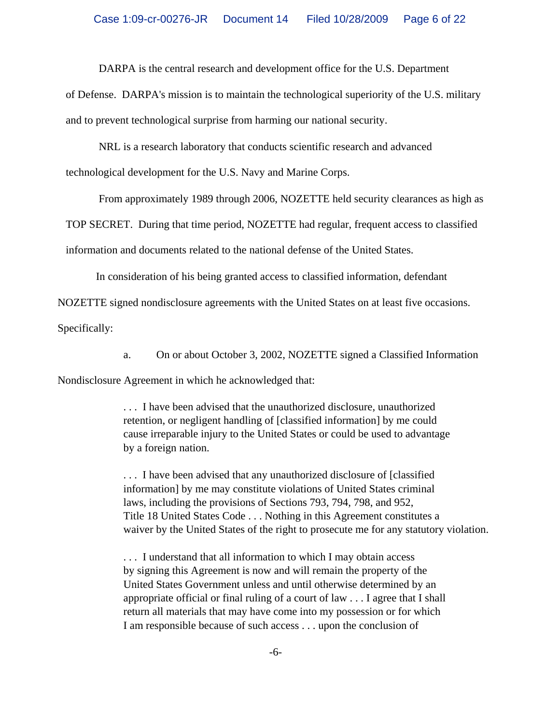DARPA is the central research and development office for the U.S. Department

of Defense. DARPA's mission is to maintain the technological superiority of the U.S. military and to prevent technological surprise from harming our national security.

NRL is a research laboratory that conducts scientific research and advanced

technological development for the U.S. Navy and Marine Corps.

From approximately 1989 through 2006, NOZETTE held security clearances as high as

TOP SECRET. During that time period, NOZETTE had regular, frequent access to classified

information and documents related to the national defense of the United States.

In consideration of his being granted access to classified information, defendant

NOZETTE signed nondisclosure agreements with the United States on at least five occasions.

Specifically:

a. On or about October 3, 2002, NOZETTE signed a Classified Information

Nondisclosure Agreement in which he acknowledged that:

. . . I have been advised that the unauthorized disclosure, unauthorized retention, or negligent handling of [classified information] by me could cause irreparable injury to the United States or could be used to advantage by a foreign nation.

. . . I have been advised that any unauthorized disclosure of [classified information] by me may constitute violations of United States criminal laws, including the provisions of Sections 793, 794, 798, and 952, Title 18 United States Code . . . Nothing in this Agreement constitutes a waiver by the United States of the right to prosecute me for any statutory violation.

. . . I understand that all information to which I may obtain access by signing this Agreement is now and will remain the property of the United States Government unless and until otherwise determined by an appropriate official or final ruling of a court of law . . . I agree that I shall return all materials that may have come into my possession or for which I am responsible because of such access . . . upon the conclusion of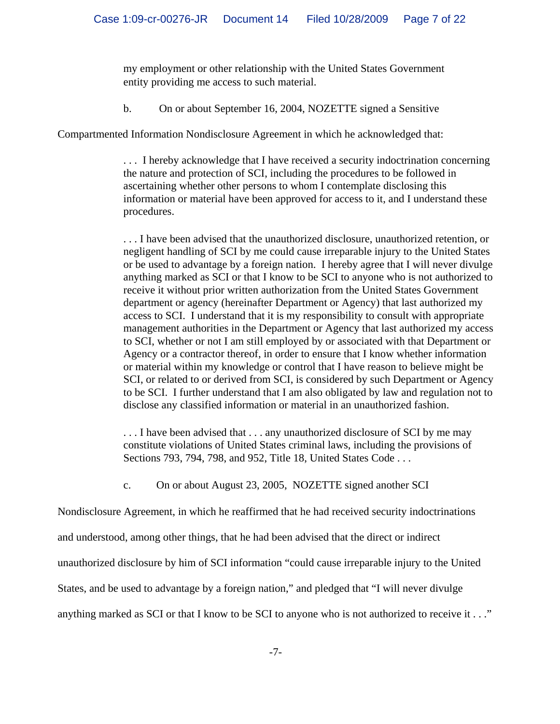my employment or other relationship with the United States Government entity providing me access to such material.

b. On or about September 16, 2004, NOZETTE signed a Sensitive

Compartmented Information Nondisclosure Agreement in which he acknowledged that:

. . . I hereby acknowledge that I have received a security indoctrination concerning the nature and protection of SCI, including the procedures to be followed in ascertaining whether other persons to whom I contemplate disclosing this information or material have been approved for access to it, and I understand these procedures.

. . . I have been advised that the unauthorized disclosure, unauthorized retention, or negligent handling of SCI by me could cause irreparable injury to the United States or be used to advantage by a foreign nation. I hereby agree that I will never divulge anything marked as SCI or that I know to be SCI to anyone who is not authorized to receive it without prior written authorization from the United States Government department or agency (hereinafter Department or Agency) that last authorized my access to SCI. I understand that it is my responsibility to consult with appropriate management authorities in the Department or Agency that last authorized my access to SCI, whether or not I am still employed by or associated with that Department or Agency or a contractor thereof, in order to ensure that I know whether information or material within my knowledge or control that I have reason to believe might be SCI, or related to or derived from SCI, is considered by such Department or Agency to be SCI. I further understand that I am also obligated by law and regulation not to disclose any classified information or material in an unauthorized fashion.

... I have been advised that ... any unauthorized disclosure of SCI by me may constitute violations of United States criminal laws, including the provisions of Sections 793, 794, 798, and 952, Title 18, United States Code . . .

c. On or about August 23, 2005, NOZETTE signed another SCI

Nondisclosure Agreement, in which he reaffirmed that he had received security indoctrinations

and understood, among other things, that he had been advised that the direct or indirect

unauthorized disclosure by him of SCI information "could cause irreparable injury to the United

States, and be used to advantage by a foreign nation," and pledged that "I will never divulge

anything marked as SCI or that I know to be SCI to anyone who is not authorized to receive it . . ."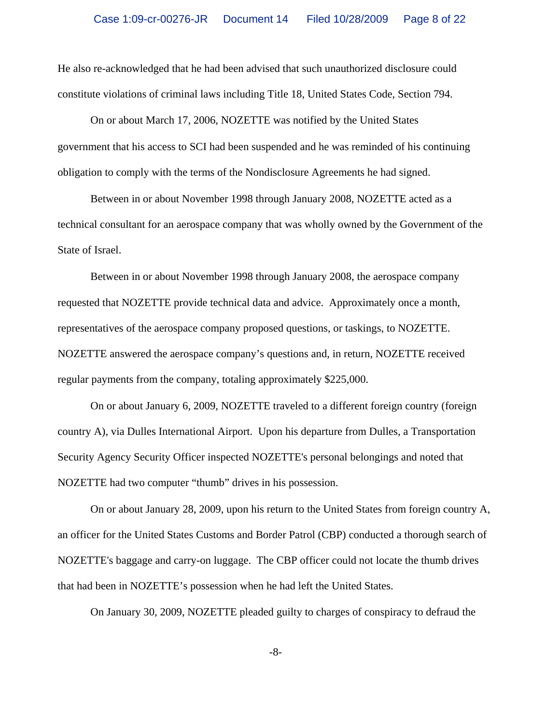He also re-acknowledged that he had been advised that such unauthorized disclosure could constitute violations of criminal laws including Title 18, United States Code, Section 794.

On or about March 17, 2006, NOZETTE was notified by the United States government that his access to SCI had been suspended and he was reminded of his continuing obligation to comply with the terms of the Nondisclosure Agreements he had signed.

Between in or about November 1998 through January 2008, NOZETTE acted as a technical consultant for an aerospace company that was wholly owned by the Government of the State of Israel.

Between in or about November 1998 through January 2008, the aerospace company requested that NOZETTE provide technical data and advice. Approximately once a month, representatives of the aerospace company proposed questions, or taskings, to NOZETTE. NOZETTE answered the aerospace company's questions and, in return, NOZETTE received regular payments from the company, totaling approximately \$225,000.

On or about January 6, 2009, NOZETTE traveled to a different foreign country (foreign country A), via Dulles International Airport. Upon his departure from Dulles, a Transportation Security Agency Security Officer inspected NOZETTE's personal belongings and noted that NOZETTE had two computer "thumb" drives in his possession.

On or about January 28, 2009, upon his return to the United States from foreign country A, an officer for the United States Customs and Border Patrol (CBP) conducted a thorough search of NOZETTE's baggage and carry-on luggage. The CBP officer could not locate the thumb drives that had been in NOZETTE's possession when he had left the United States.

On January 30, 2009, NOZETTE pleaded guilty to charges of conspiracy to defraud the

-8-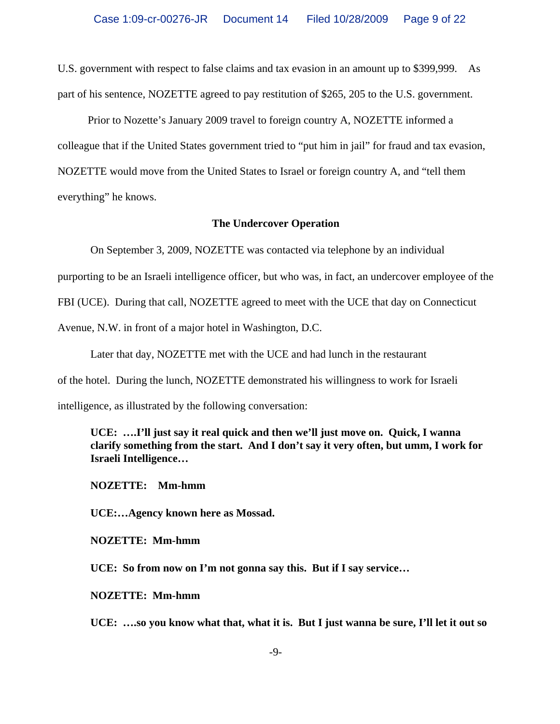U.S. government with respect to false claims and tax evasion in an amount up to \$399,999. As part of his sentence, NOZETTE agreed to pay restitution of \$265, 205 to the U.S. government.

 Prior to Nozette's January 2009 travel to foreign country A, NOZETTE informed a colleague that if the United States government tried to "put him in jail" for fraud and tax evasion, NOZETTE would move from the United States to Israel or foreign country A, and "tell them everything" he knows.

#### **The Undercover Operation**

On September 3, 2009, NOZETTE was contacted via telephone by an individual

purporting to be an Israeli intelligence officer, but who was, in fact, an undercover employee of the

FBI (UCE). During that call, NOZETTE agreed to meet with the UCE that day on Connecticut

Avenue, N.W. in front of a major hotel in Washington, D.C.

Later that day, NOZETTE met with the UCE and had lunch in the restaurant

of the hotel. During the lunch, NOZETTE demonstrated his willingness to work for Israeli

intelligence, as illustrated by the following conversation:

**UCE: ….I'll just say it real quick and then we'll just move on. Quick, I wanna clarify something from the start. And I don't say it very often, but umm, I work for Israeli Intelligence…**

**NOZETTE: Mm-hmm**

**UCE:…Agency known here as Mossad.**

**NOZETTE: Mm-hmm**

**UCE: So from now on I'm not gonna say this. But if I say service…**

**NOZETTE: Mm-hmm**

**UCE: ….so you know what that, what it is. But I just wanna be sure, I'll let it out so**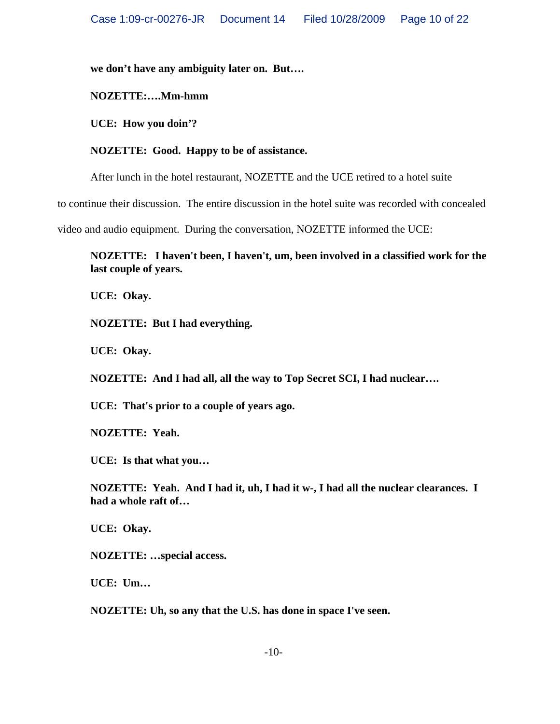**we don't have any ambiguity later on. But….**

**NOZETTE:….Mm-hmm**

**UCE: How you doin'?**

**NOZETTE: Good. Happy to be of assistance.**

After lunch in the hotel restaurant, NOZETTE and the UCE retired to a hotel suite

to continue their discussion. The entire discussion in the hotel suite was recorded with concealed

video and audio equipment. During the conversation, NOZETTE informed the UCE:

**NOZETTE: I haven't been, I haven't, um, been involved in a classified work for the last couple of years.**

**UCE: Okay.**

**NOZETTE: But I had everything.**

**UCE: Okay.**

**NOZETTE: And I had all, all the way to Top Secret SCI, I had nuclear….**

**UCE: That's prior to a couple of years ago.**

**NOZETTE: Yeah.**

**UCE: Is that what you…**

**NOZETTE: Yeah. And I had it, uh, I had it w-, I had all the nuclear clearances. I had a whole raft of…**

**UCE: Okay.**

**NOZETTE: …special access.**

**UCE: Um…**

**NOZETTE: Uh, so any that the U.S. has done in space I've seen.**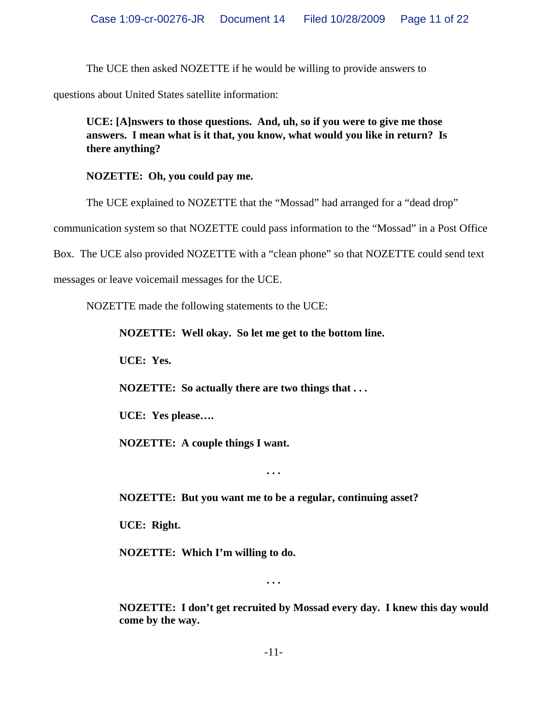The UCE then asked NOZETTE if he would be willing to provide answers to

questions about United States satellite information:

**UCE: [A]nswers to those questions. And, uh, so if you were to give me those answers. I mean what is it that, you know, what would you like in return? Is there anything?**

**NOZETTE: Oh, you could pay me.**

The UCE explained to NOZETTE that the "Mossad" had arranged for a "dead drop"

communication system so that NOZETTE could pass information to the "Mossad" in a Post Office

Box. The UCE also provided NOZETTE with a "clean phone" so that NOZETTE could send text

messages or leave voicemail messages for the UCE.

NOZETTE made the following statements to the UCE:

**NOZETTE: Well okay. So let me get to the bottom line.**

**UCE: Yes.**

**NOZETTE: So actually there are two things that . . .**

**UCE: Yes please….**

**NOZETTE: A couple things I want.**

**NOZETTE: But you want me to be a regular, continuing asset?**

**. . .**

**UCE: Right.**

**NOZETTE: Which I'm willing to do.**

**. . .**

**NOZETTE: I don't get recruited by Mossad every day. I knew this day would come by the way.**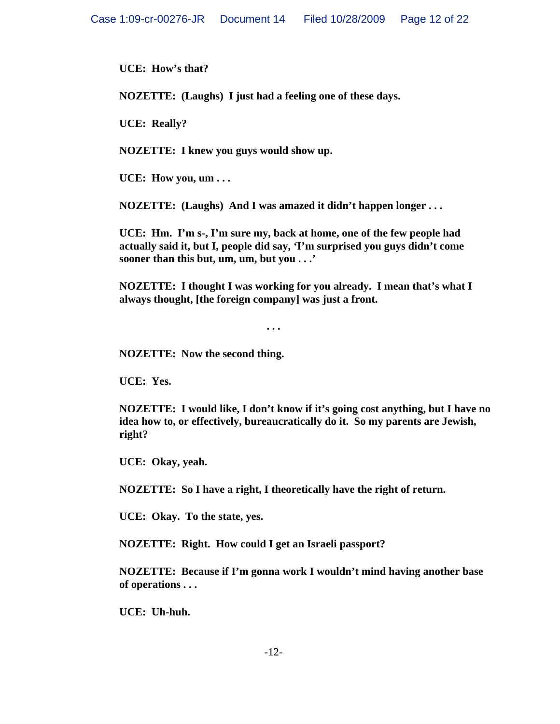**UCE: How's that?**

**NOZETTE: (Laughs) I just had a feeling one of these days.**

**UCE: Really?**

**NOZETTE: I knew you guys would show up.**

**UCE: How you, um . . .**

**NOZETTE: (Laughs) And I was amazed it didn't happen longer . . .**

**UCE: Hm. I'm s-, I'm sure my, back at home, one of the few people had actually said it, but I, people did say, 'I'm surprised you guys didn't come sooner than this but, um, um, but you . . .'**

**NOZETTE: I thought I was working for you already. I mean that's what I always thought, [the foreign company] was just a front.**

**. . .**

**NOZETTE: Now the second thing.**

**UCE: Yes.**

**NOZETTE: I would like, I don't know if it's going cost anything, but I have no idea how to, or effectively, bureaucratically do it. So my parents are Jewish, right?**

**UCE: Okay, yeah.**

**NOZETTE: So I have a right, I theoretically have the right of return.**

**UCE: Okay. To the state, yes.**

**NOZETTE: Right. How could I get an Israeli passport?**

**NOZETTE: Because if I'm gonna work I wouldn't mind having another base of operations . . .** 

**UCE: Uh-huh.**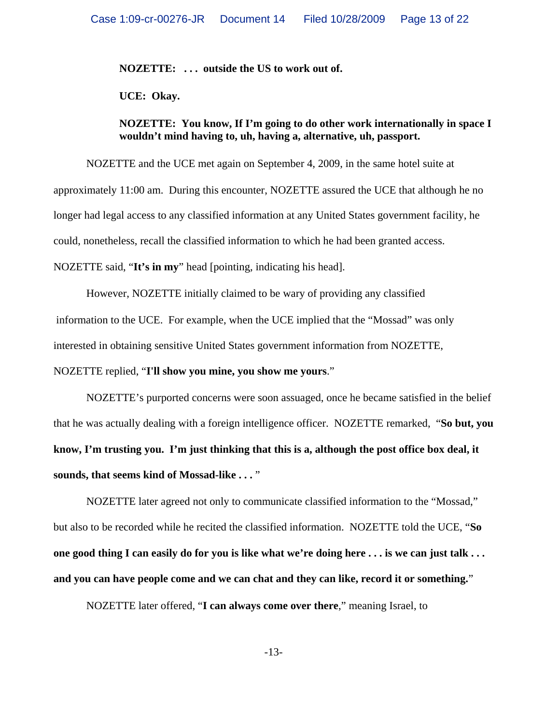**NOZETTE: . . . outside the US to work out of.**

**UCE: Okay.**

## **NOZETTE: You know, If I'm going to do other work internationally in space I wouldn't mind having to, uh, having a, alternative, uh, passport.**

NOZETTE and the UCE met again on September 4, 2009, in the same hotel suite at approximately 11:00 am. During this encounter, NOZETTE assured the UCE that although he no longer had legal access to any classified information at any United States government facility, he could, nonetheless, recall the classified information to which he had been granted access. NOZETTE said, "**It's in my**" head [pointing, indicating his head].

However, NOZETTE initially claimed to be wary of providing any classified information to the UCE. For example, when the UCE implied that the "Mossad" was only interested in obtaining sensitive United States government information from NOZETTE,

NOZETTE replied, "**I'll show you mine, you show me yours**."

NOZETTE's purported concerns were soon assuaged, once he became satisfied in the belief that he was actually dealing with a foreign intelligence officer. NOZETTE remarked, "**So but, you know, I'm trusting you. I'm just thinking that this is a, although the post office box deal, it sounds, that seems kind of Mossad-like . . .** "

NOZETTE later agreed not only to communicate classified information to the "Mossad," but also to be recorded while he recited the classified information. NOZETTE told the UCE, "**So one good thing I can easily do for you is like what we're doing here . . . is we can just talk . . . and you can have people come and we can chat and they can like, record it or something.**"

NOZETTE later offered, "**I can always come over there**," meaning Israel, to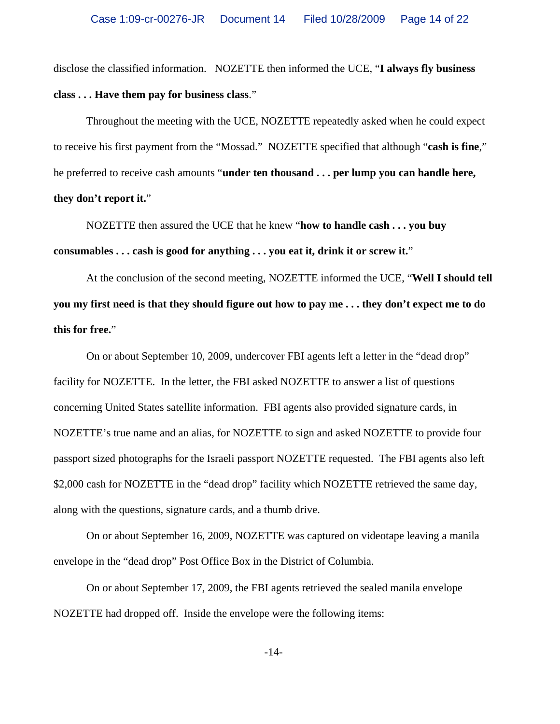disclose the classified information. NOZETTE then informed the UCE, "**I always fly business class . . . Have them pay for business class**."

Throughout the meeting with the UCE, NOZETTE repeatedly asked when he could expect to receive his first payment from the "Mossad." NOZETTE specified that although "**cash is fine**," he preferred to receive cash amounts "**under ten thousand . . . per lump you can handle here, they don't report it.**"

NOZETTE then assured the UCE that he knew "**how to handle cash . . . you buy consumables . . . cash is good for anything . . . you eat it, drink it or screw it.**"

At the conclusion of the second meeting, NOZETTE informed the UCE, "**Well I should tell you my first need is that they should figure out how to pay me . . . they don't expect me to do this for free.**"

On or about September 10, 2009, undercover FBI agents left a letter in the "dead drop" facility for NOZETTE. In the letter, the FBI asked NOZETTE to answer a list of questions concerning United States satellite information. FBI agents also provided signature cards, in NOZETTE's true name and an alias, for NOZETTE to sign and asked NOZETTE to provide four passport sized photographs for the Israeli passport NOZETTE requested. The FBI agents also left \$2,000 cash for NOZETTE in the "dead drop" facility which NOZETTE retrieved the same day, along with the questions, signature cards, and a thumb drive.

On or about September 16, 2009, NOZETTE was captured on videotape leaving a manila envelope in the "dead drop" Post Office Box in the District of Columbia.

On or about September 17, 2009, the FBI agents retrieved the sealed manila envelope NOZETTE had dropped off. Inside the envelope were the following items: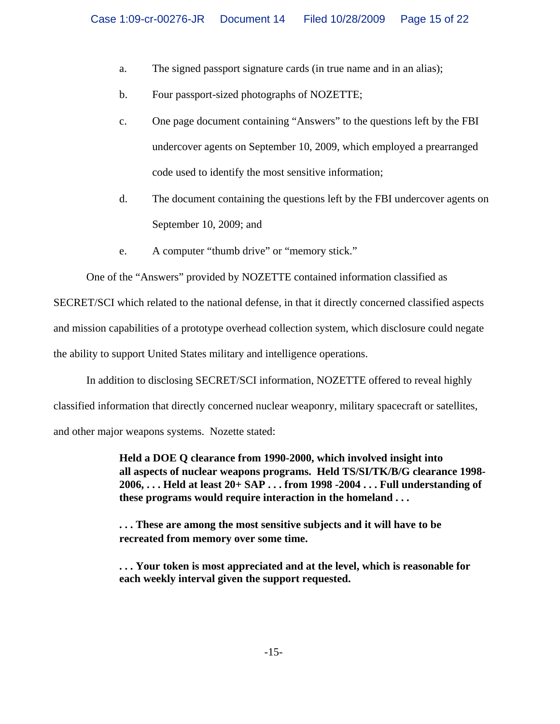- a. The signed passport signature cards (in true name and in an alias);
- b. Four passport-sized photographs of NOZETTE;
- c. One page document containing "Answers" to the questions left by the FBI undercover agents on September 10, 2009, which employed a prearranged code used to identify the most sensitive information;
- d. The document containing the questions left by the FBI undercover agents on September 10, 2009; and
- e. A computer "thumb drive" or "memory stick."

One of the "Answers" provided by NOZETTE contained information classified as

SECRET/SCI which related to the national defense, in that it directly concerned classified aspects and mission capabilities of a prototype overhead collection system, which disclosure could negate the ability to support United States military and intelligence operations.

In addition to disclosing SECRET/SCI information, NOZETTE offered to reveal highly

classified information that directly concerned nuclear weaponry, military spacecraft or satellites,

and other major weapons systems. Nozette stated:

**Held a DOE Q clearance from 1990-2000, which involved insight into all aspects of nuclear weapons programs. Held TS/SI/TK/B/G clearance 1998- 2006, . . . Held at least 20+ SAP . . . from 1998 -2004 . . . Full understanding of these programs would require interaction in the homeland . . .**

**. . . These are among the most sensitive subjects and it will have to be recreated from memory over some time.**

**. . . Your token is most appreciated and at the level, which is reasonable for each weekly interval given the support requested.**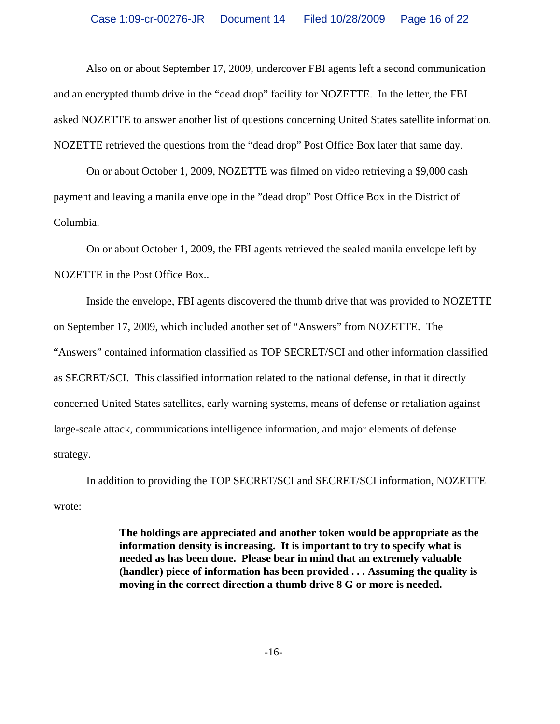Also on or about September 17, 2009, undercover FBI agents left a second communication and an encrypted thumb drive in the "dead drop" facility for NOZETTE. In the letter, the FBI asked NOZETTE to answer another list of questions concerning United States satellite information. NOZETTE retrieved the questions from the "dead drop" Post Office Box later that same day.

On or about October 1, 2009, NOZETTE was filmed on video retrieving a \$9,000 cash payment and leaving a manila envelope in the "dead drop" Post Office Box in the District of Columbia.

On or about October 1, 2009, the FBI agents retrieved the sealed manila envelope left by NOZETTE in the Post Office Box..

Inside the envelope, FBI agents discovered the thumb drive that was provided to NOZETTE on September 17, 2009, which included another set of "Answers" from NOZETTE. The "Answers" contained information classified as TOP SECRET/SCI and other information classified as SECRET/SCI. This classified information related to the national defense, in that it directly concerned United States satellites, early warning systems, means of defense or retaliation against large-scale attack, communications intelligence information, and major elements of defense strategy.

In addition to providing the TOP SECRET/SCI and SECRET/SCI information, NOZETTE wrote:

> **The holdings are appreciated and another token would be appropriate as the information density is increasing. It is important to try to specify what is needed as has been done. Please bear in mind that an extremely valuable (handler) piece of information has been provided . . . Assuming the quality is moving in the correct direction a thumb drive 8 G or more is needed.**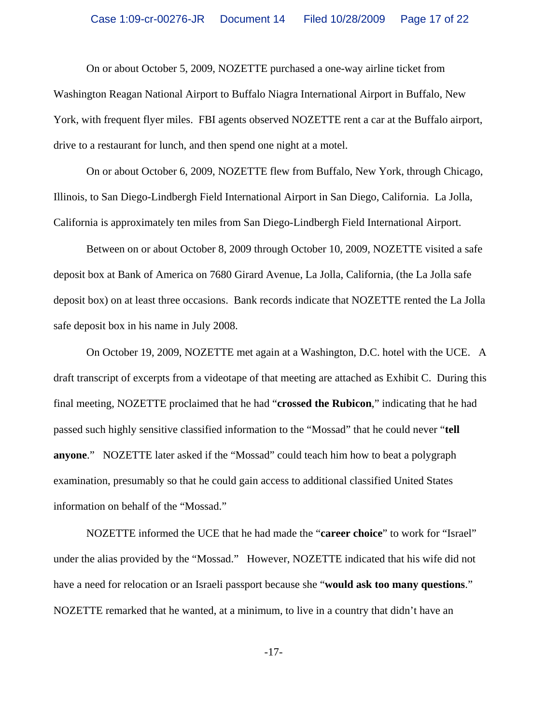On or about October 5, 2009, NOZETTE purchased a one-way airline ticket from Washington Reagan National Airport to Buffalo Niagra International Airport in Buffalo, New York, with frequent flyer miles. FBI agents observed NOZETTE rent a car at the Buffalo airport, drive to a restaurant for lunch, and then spend one night at a motel.

On or about October 6, 2009, NOZETTE flew from Buffalo, New York, through Chicago, Illinois, to San Diego-Lindbergh Field International Airport in San Diego, California. La Jolla, California is approximately ten miles from San Diego-Lindbergh Field International Airport.

Between on or about October 8, 2009 through October 10, 2009, NOZETTE visited a safe deposit box at Bank of America on 7680 Girard Avenue, La Jolla, California, (the La Jolla safe deposit box) on at least three occasions. Bank records indicate that NOZETTE rented the La Jolla safe deposit box in his name in July 2008.

On October 19, 2009, NOZETTE met again at a Washington, D.C. hotel with the UCE. A draft transcript of excerpts from a videotape of that meeting are attached as Exhibit C. During this final meeting, NOZETTE proclaimed that he had "**crossed the Rubicon**," indicating that he had passed such highly sensitive classified information to the "Mossad" that he could never "**tell anyone**." NOZETTE later asked if the "Mossad" could teach him how to beat a polygraph examination, presumably so that he could gain access to additional classified United States information on behalf of the "Mossad."

NOZETTE informed the UCE that he had made the "**career choice**" to work for "Israel" under the alias provided by the "Mossad." However, NOZETTE indicated that his wife did not have a need for relocation or an Israeli passport because she "**would ask too many questions**." NOZETTE remarked that he wanted, at a minimum, to live in a country that didn't have an

-17-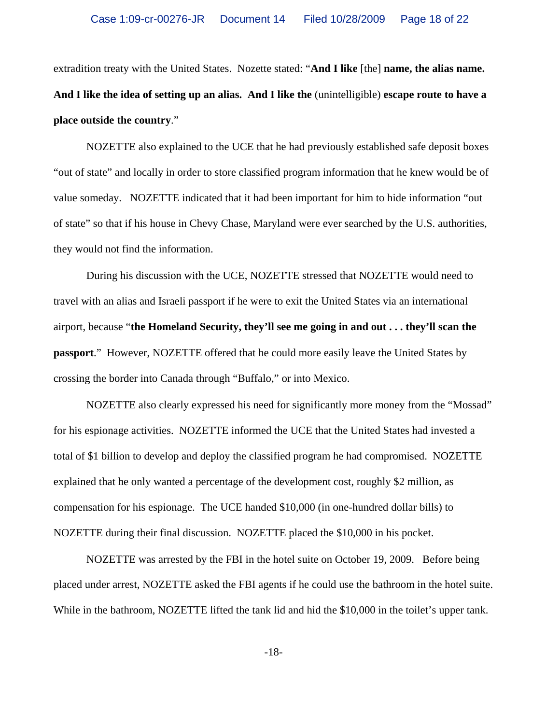extradition treaty with the United States. Nozette stated: "**And I like** [the] **name, the alias name. And I like the idea of setting up an alias. And I like the** (unintelligible) **escape route to have a place outside the country**."

NOZETTE also explained to the UCE that he had previously established safe deposit boxes "out of state" and locally in order to store classified program information that he knew would be of value someday. NOZETTE indicated that it had been important for him to hide information "out of state" so that if his house in Chevy Chase, Maryland were ever searched by the U.S. authorities, they would not find the information.

During his discussion with the UCE, NOZETTE stressed that NOZETTE would need to travel with an alias and Israeli passport if he were to exit the United States via an international airport, because "**the Homeland Security, they'll see me going in and out . . . they'll scan the passport**." However, NOZETTE offered that he could more easily leave the United States by crossing the border into Canada through "Buffalo," or into Mexico.

NOZETTE also clearly expressed his need for significantly more money from the "Mossad" for his espionage activities. NOZETTE informed the UCE that the United States had invested a total of \$1 billion to develop and deploy the classified program he had compromised. NOZETTE explained that he only wanted a percentage of the development cost, roughly \$2 million, as compensation for his espionage. The UCE handed \$10,000 (in one-hundred dollar bills) to NOZETTE during their final discussion. NOZETTE placed the \$10,000 in his pocket.

NOZETTE was arrested by the FBI in the hotel suite on October 19, 2009. Before being placed under arrest, NOZETTE asked the FBI agents if he could use the bathroom in the hotel suite. While in the bathroom, NOZETTE lifted the tank lid and hid the \$10,000 in the toilet's upper tank.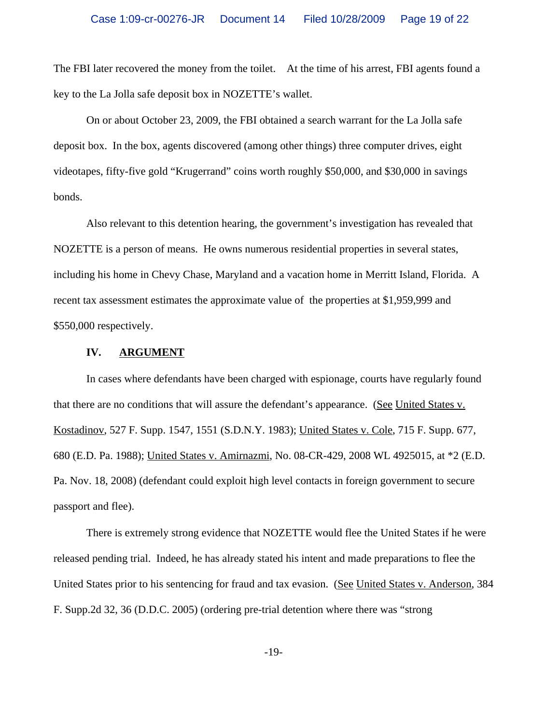The FBI later recovered the money from the toilet. At the time of his arrest, FBI agents found a key to the La Jolla safe deposit box in NOZETTE's wallet.

On or about October 23, 2009, the FBI obtained a search warrant for the La Jolla safe deposit box. In the box, agents discovered (among other things) three computer drives, eight videotapes, fifty-five gold "Krugerrand" coins worth roughly \$50,000, and \$30,000 in savings bonds.

Also relevant to this detention hearing, the government's investigation has revealed that NOZETTE is a person of means. He owns numerous residential properties in several states, including his home in Chevy Chase, Maryland and a vacation home in Merritt Island, Florida. A recent tax assessment estimates the approximate value of the properties at \$1,959,999 and \$550,000 respectively.

## **IV. ARGUMENT**

In cases where defendants have been charged with espionage, courts have regularly found that there are no conditions that will assure the defendant's appearance. (See United States v. Kostadinov, 527 F. Supp. 1547, 1551 (S.D.N.Y. 1983); United States v. Cole, 715 F. Supp. 677, 680 (E.D. Pa. 1988); United States v. Amirnazmi, No. 08-CR-429, 2008 WL 4925015, at \*2 (E.D. Pa. Nov. 18, 2008) (defendant could exploit high level contacts in foreign government to secure passport and flee).

There is extremely strong evidence that NOZETTE would flee the United States if he were released pending trial. Indeed, he has already stated his intent and made preparations to flee the United States prior to his sentencing for fraud and tax evasion. (See United States v. Anderson, 384 F. Supp.2d 32, 36 (D.D.C. 2005) (ordering pre-trial detention where there was "strong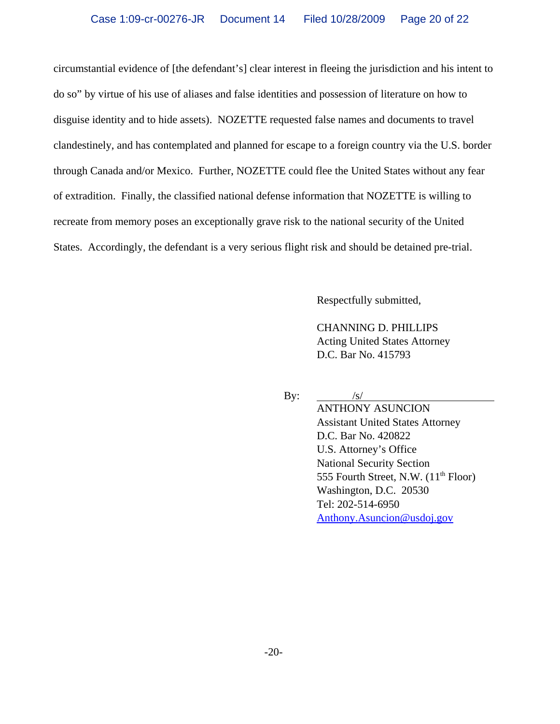circumstantial evidence of [the defendant's] clear interest in fleeing the jurisdiction and his intent to do so" by virtue of his use of aliases and false identities and possession of literature on how to disguise identity and to hide assets). NOZETTE requested false names and documents to travel clandestinely, and has contemplated and planned for escape to a foreign country via the U.S. border through Canada and/or Mexico. Further, NOZETTE could flee the United States without any fear of extradition. Finally, the classified national defense information that NOZETTE is willing to recreate from memory poses an exceptionally grave risk to the national security of the United States. Accordingly, the defendant is a very serious flight risk and should be detained pre-trial.

Respectfully submitted,

CHANNING D. PHILLIPS Acting United States Attorney D.C. Bar No. 415793

By:  $/s/$ 

ANTHONY ASUNCION Assistant United States Attorney D.C. Bar No. 420822 U.S. Attorney's Office National Security Section 555 Fourth Street, N.W.  $(11<sup>th</sup>$  Floor) Washington, D.C. 20530 Tel: 202-514-6950 Anthony.Asuncion@usdoj.gov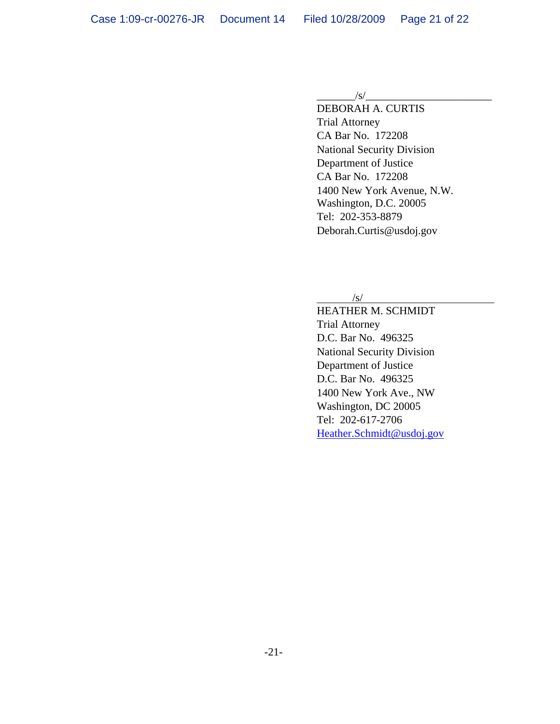#### $\sqrt{s}/$

DEBORAH A. CURTIS Trial Attorney CA Bar No. 172208 National Security Division Department of Justice CA Bar No. 172208 1400 New York Avenue, N.W. Washington, D.C. 20005 Tel: 202-353-8879 Deborah.Curtis@usdoj.gov

#### /s/

HEATHER M. SCHMIDT Trial Attorney D.C. Bar No. 496325 National Security Division Department of Justice D.C. Bar No. 496325 1400 New York Ave., NW Washington, DC 20005 Tel: 202-617-2706 Heather.Schmidt@usdoj.gov